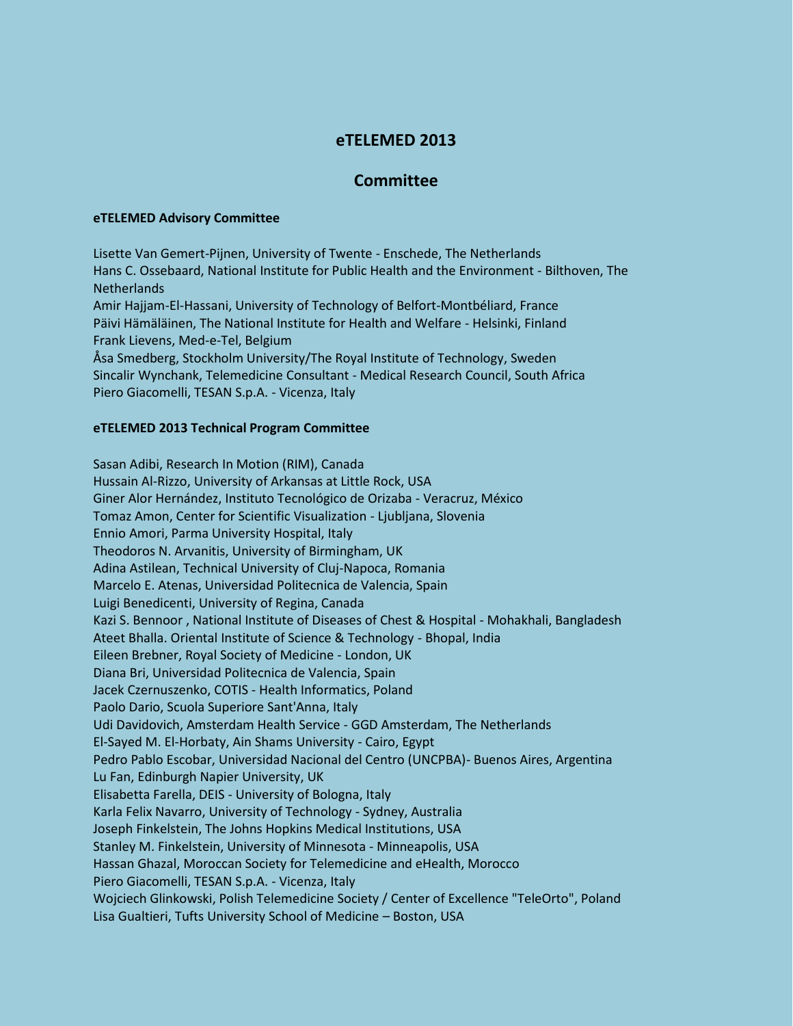## **eTELEMED 2013**

## **Committee**

## **eTELEMED Advisory Committee**

Lisette Van Gemert-Pijnen, University of Twente - Enschede, The Netherlands Hans C. Ossebaard, National Institute for Public Health and the Environment - Bilthoven, The Netherlands Amir Hajjam-El-Hassani, University of Technology of Belfort-Montbéliard, France Päivi Hämäläinen, The National Institute for Health and Welfare - Helsinki, Finland Frank Lievens, Med-e-Tel, Belgium Åsa Smedberg, Stockholm University/The Royal Institute of Technology, Sweden Sincalir Wynchank, Telemedicine Consultant - Medical Research Council, South Africa Piero Giacomelli, TESAN S.p.A. - Vicenza, Italy

## **eTELEMED 2013 Technical Program Committee**

Sasan Adibi, Research In Motion (RIM), Canada Hussain Al-Rizzo, University of Arkansas at Little Rock, USA Giner Alor Hernández, Instituto Tecnológico de Orizaba - Veracruz, México Tomaz Amon, Center for Scientific Visualization - Ljubljana, Slovenia Ennio Amori, Parma University Hospital, Italy Theodoros N. Arvanitis, University of Birmingham, UK Adina Astilean, Technical University of Cluj-Napoca, Romania Marcelo E. Atenas, Universidad Politecnica de Valencia, Spain Luigi Benedicenti, University of Regina, Canada Kazi S. Bennoor , National Institute of Diseases of Chest & Hospital - Mohakhali, Bangladesh Ateet Bhalla. Oriental Institute of Science & Technology - Bhopal, India Eileen Brebner, Royal Society of Medicine - London, UK Diana Bri, Universidad Politecnica de Valencia, Spain Jacek Czernuszenko, COTIS - Health Informatics, Poland Paolo Dario, Scuola Superiore Sant'Anna, Italy Udi Davidovich, Amsterdam Health Service - GGD Amsterdam, The Netherlands El-Sayed M. El-Horbaty, Ain Shams University - Cairo, Egypt Pedro Pablo Escobar, Universidad Nacional del Centro (UNCPBA)- Buenos Aires, Argentina Lu Fan, Edinburgh Napier University, UK Elisabetta Farella, DEIS - University of Bologna, Italy Karla Felix Navarro, University of Technology - Sydney, Australia Joseph Finkelstein, The Johns Hopkins Medical Institutions, USA Stanley M. Finkelstein, University of Minnesota - Minneapolis, USA Hassan Ghazal, Moroccan Society for Telemedicine and eHealth, Morocco Piero Giacomelli, TESAN S.p.A. - Vicenza, Italy Wojciech Glinkowski, Polish Telemedicine Society / Center of Excellence "TeleOrto", Poland Lisa Gualtieri, Tufts University School of Medicine – Boston, USA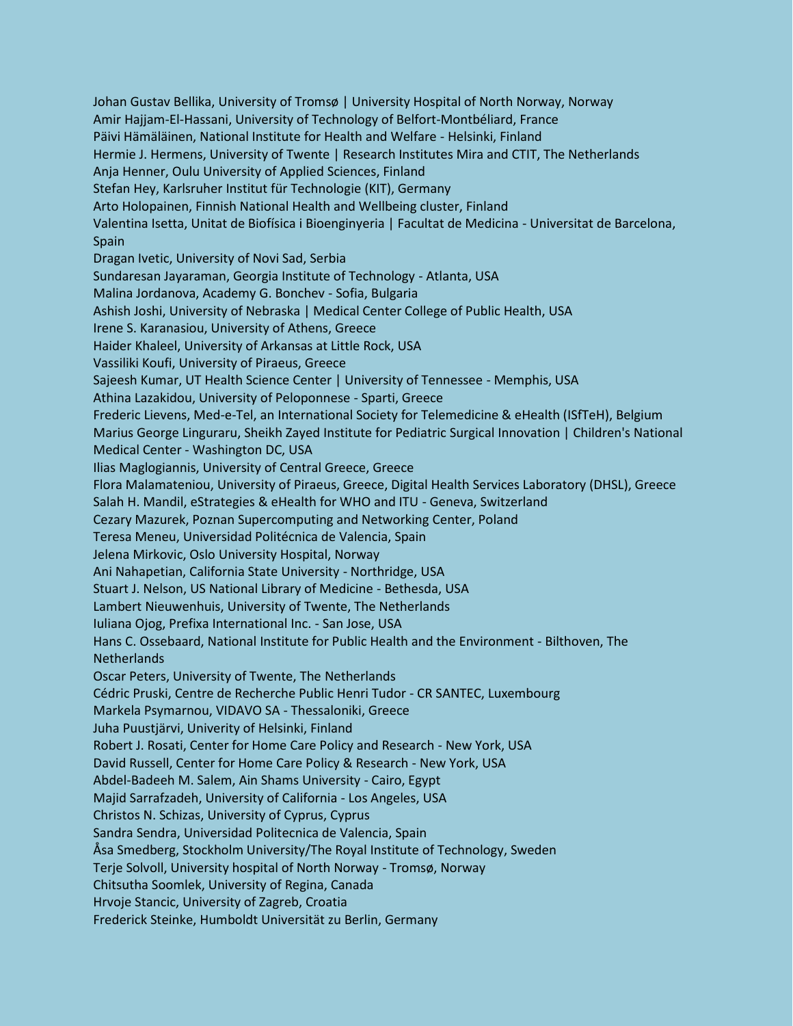Johan Gustav Bellika, University of Tromsø | University Hospital of North Norway, Norway Amir Hajjam-El-Hassani, University of Technology of Belfort-Montbéliard, France Päivi Hämäläinen, National Institute for Health and Welfare - Helsinki, Finland Hermie J. Hermens, University of Twente | Research Institutes Mira and CTIT, The Netherlands Anja Henner, Oulu University of Applied Sciences, Finland Stefan Hey, Karlsruher Institut für Technologie (KIT), Germany Arto Holopainen, Finnish National Health and Wellbeing cluster, Finland Valentina Isetta, Unitat de Biofísica i Bioenginyeria | Facultat de Medicina - Universitat de Barcelona, Spain Dragan Ivetic, University of Novi Sad, Serbia Sundaresan Jayaraman, Georgia Institute of Technology - Atlanta, USA Malina Jordanova, Academy G. Bonchev - Sofia, Bulgaria Ashish Joshi, University of Nebraska | Medical Center College of Public Health, USA Irene S. Karanasiou, University of Athens, Greece Haider Khaleel, University of Arkansas at Little Rock, USA Vassiliki Koufi, University of Piraeus, Greece Sajeesh Kumar, UT Health Science Center | University of Tennessee - Memphis, USA Athina Lazakidou, University of Peloponnese - Sparti, Greece Frederic Lievens, Med-e-Tel, an International Society for Telemedicine & eHealth (ISfTeH), Belgium Marius George Linguraru, Sheikh Zayed Institute for Pediatric Surgical Innovation | Children's National Medical Center - Washington DC, USA Ilias Maglogiannis, University of Central Greece, Greece Flora Malamateniou, University of Piraeus, Greece, Digital Health Services Laboratory (DHSL), Greece Salah H. Mandil, eStrategies & eHealth for WHO and ITU - Geneva, Switzerland Cezary Mazurek, Poznan Supercomputing and Networking Center, Poland Teresa Meneu, Universidad Politécnica de Valencia, Spain Jelena Mirkovic, Oslo University Hospital, Norway Ani Nahapetian, California State University - Northridge, USA Stuart J. Nelson, US National Library of Medicine - Bethesda, USA Lambert Nieuwenhuis, University of Twente, The Netherlands Iuliana Ojog, Prefixa International Inc. - San Jose, USA Hans C. Ossebaard, National Institute for Public Health and the Environment - Bilthoven, The Netherlands Oscar Peters, University of Twente, The Netherlands Cédric Pruski, Centre de Recherche Public Henri Tudor - CR SANTEC, Luxembourg Markela Psymarnou, VIDAVO SA - Thessaloniki, Greece Juha Puustjärvi, Univerity of Helsinki, Finland Robert J. Rosati, Center for Home Care Policy and Research - New York, USA David Russell, Center for Home Care Policy & Research - New York, USA Abdel-Badeeh M. Salem, Ain Shams University - Cairo, Egypt Majid Sarrafzadeh, University of California - Los Angeles, USA Christos N. Schizas, University of Cyprus, Cyprus Sandra Sendra, Universidad Politecnica de Valencia, Spain Åsa Smedberg, Stockholm University/The Royal Institute of Technology, Sweden Terje Solvoll, University hospital of North Norway - Tromsø, Norway Chitsutha Soomlek, University of Regina, Canada Hrvoje Stancic, University of Zagreb, Croatia Frederick Steinke, Humboldt Universität zu Berlin, Germany